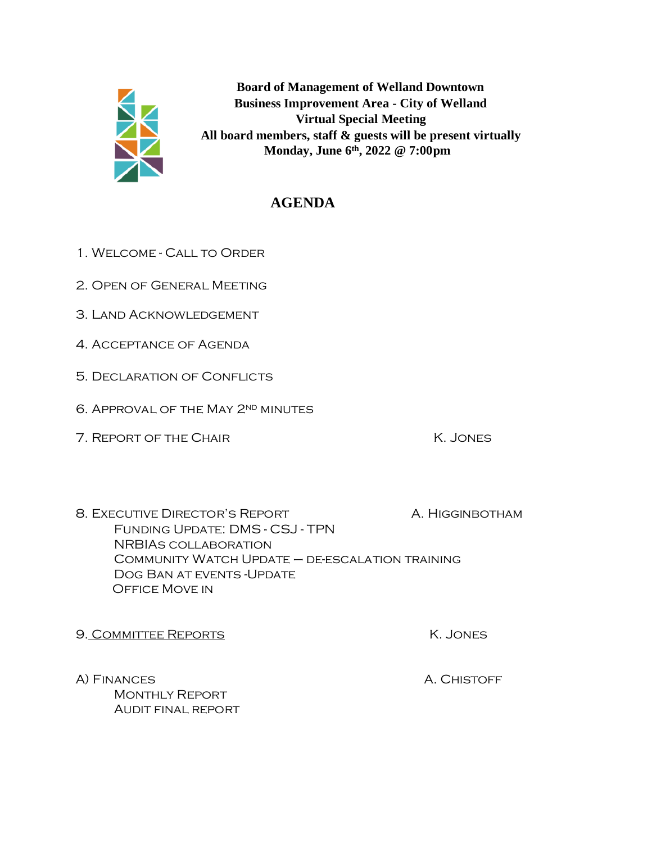

**Board of Management of Welland Downtown Business Improvement Area - City of Welland Virtual Special Meeting All board members, staff & guests will be present virtually Monday, June 6th, 2022 @ 7:00pm**

## **AGENDA**

- 1. Welcome Call to Order
- 2. Open of General Meeting
- 3. Land Acknowledgement
- 4. Acceptance of Agenda
- 5. Declaration of Conflicts
- 6. Approval of the May 2nd minutes
- 7. REPORT OF THE CHAIR K. JONES

8. EXECUTIVE DIRECTOR'S REPORT A. HIGGINBOTHAM Funding Update: DMS - CSJ - TPN NRBIAs collaboration Community Watch Update – de-escalation training Dog Ban at events -Update Office Move in

- 9. COMMITTEE REPORTS SAND THE REPORTS
- A) FINANCES A. CHISTOFF Monthly Report Audit final report